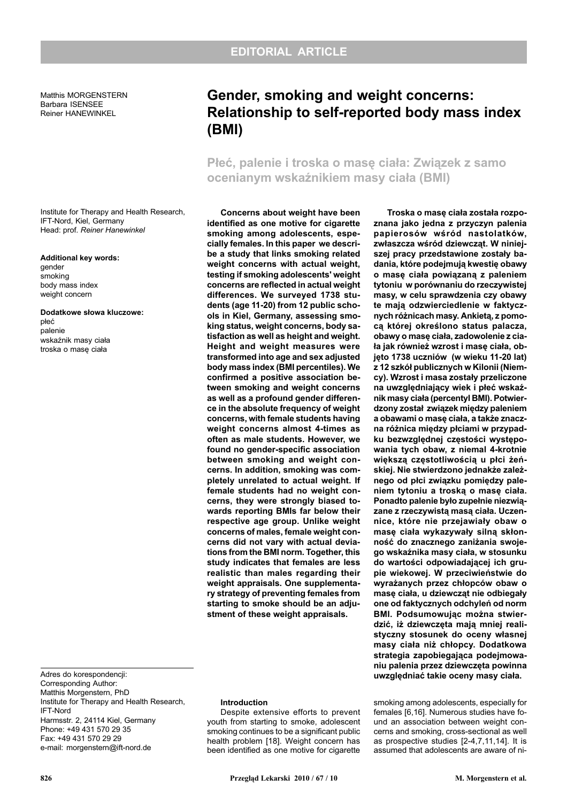Matthis MORGENSTERN Barbara ISENSEE Reiner HANEWINKEL

Institute for Therapy and Health Research, IFT-Nord, Kiel, Germany Head: prof. Reiner Hanewinkel

## Additional key words:

gender smoking body mass index weight concern

Dodatkowe słowa kluczowe: płeć palenie wskaźnik masy ciała troska o masę ciała

# Gender, smoking and weight concerns: Relationship to self-reported body mass index (BMI)

Płeć, palenie i troska o masę ciała: Związek z samo ocenianym wskaźnikiem masy ciała (BMI)

Concerns about weight have been identified as one motive for cigarette smoking among adolescents, especially females. In this paper we describe a study that links smoking related weight concerns with actual weight, testing if smoking adolescents' weight concerns are reflected in actual weight differences. We surveyed 1738 students (age 11-20) from 12 public schools in Kiel, Germany, assessing smoking status, weight concerns, body satisfaction as well as height and weight. Height and weight measures were transformed into age and sex adjusted body mass index (BMI percentiles). We confirmed a positive association between smoking and weight concerns as well as a profound gender difference in the absolute frequency of weight concerns, with female students having weight concerns almost 4-times as often as male students. However, we found no gender-specific association between smoking and weight concerns. In addition, smoking was completely unrelated to actual weight. If female students had no weight concerns, they were strongly biased towards reporting BMIs far below their respective age group. Unlike weight concerns of males, female weight concerns did not vary with actual deviations from the BMI norm. Together, this study indicates that females are less realistic than males regarding their weight appraisals. One supplementary strategy of preventing females from starting to smoke should be an adjustment of these weight appraisals.

Troska o masę ciała została rozpoznana jako jedna z przyczyn palenia papierosów wśród nastolatków, zwłaszcza wśród dziewcząt. W niniejszej pracy przedstawione zostały badania, które podejmują kwestię obawy o masę ciała powiązaną z paleniem tytoniu w porównaniu do rzeczywistej masy, w celu sprawdzenia czy obawy te mają odzwierciedlenie w faktycznych różnicach masy. Ankietą, z pomoca której określono status palacza, obawy o masę ciała, zadowolenie z ciała jak również wzrost i masę ciała, objêto 1738 uczniów (w wieku 11-20 lat) z 12 szkół publicznych w Kilonii (Niemcy). Wzrost i masa zostały przeliczone na uwzględniający wiek i płeć wskaźnik masy ciała (percentyl BMI). Potwierdzony został związek między paleniem a obawami o masę ciała, a także znaczna różnica między płciami w przypadku bezwzględnej częstości występowania tych obaw, z niemal 4-krotnie większą częstotliwością u płci żeńskiej. Nie stwierdzono jednakże zależnego od płci związku pomiędzy paleniem tytoniu a troską o masę ciała. Ponadto palenie było zupełnie niezwiązane z rzeczywistą masą ciała. Uczennice, które nie przejawiały obaw o mase ciała wykazywały silna skłonność do znacznego zaniżania swojego wskaźnika masy ciała, w stosunku do wartości odpowiadającej ich grupie wiekowej. W przeciwieñstwie do wyrażanych przez chłopców obaw o mase ciała, u dziewczat nie odbiegały one od faktycznych odchyleñ od norm BMI. Podsumowując można stwierdzić, iż dziewczęta mają mniej realistyczny stosunek do oceny własnej masy ciała niż chłopcy. Dodatkowa strategia zapobiegająca podejmowaniu palenia przez dziewczêta powinna uwzględniać takie oceny masy ciała.

smoking among adolescents, especially for females [6,16]. Numerous studies have found an association between weight concerns and smoking, cross-sectional as well as prospective studies [2-4,7,11,14]. It is assumed that adolescents are aware of ni-

Adres do korespondencji: Corresponding Author: Matthis Morgenstern, PhD Institute for Therapy and Health Research, IFT-Nord Harmsstr. 2, 24114 Kiel, Germany Phone: +49 431 570 29 35 Fax: +49 431 570 29 29 e-mail: morgenstern@ift-nord.de

### Introduction

Despite extensive efforts to prevent youth from starting to smoke, adolescent smoking continues to be a significant public health problem [18]. Weight concern has been identified as one motive for cigarette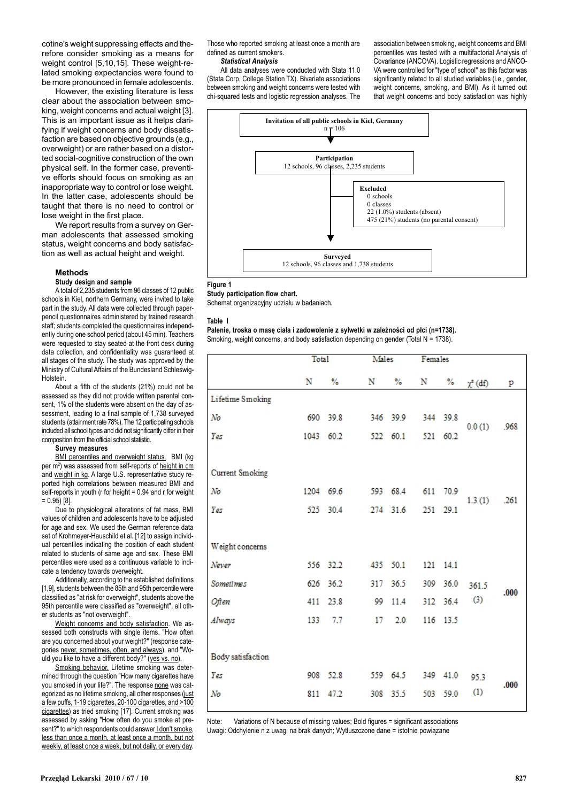cotine's weight suppressing effects and therefore consider smoking as a means for weight control [5,10,15]. These weight-related smoking expectancies were found to be more pronounced in female adolescents.

However, the existing literature is less clear about the association between smoking, weight concerns and actual weight [3]. This is an important issue as it helps clarifying if weight concerns and body dissatisfaction are based on objective grounds (e.g., overweight) or are rather based on a distorted social-cognitive construction of the own physical self. In the former case, preventive efforts should focus on smoking as an inappropriate way to control or lose weight. In the latter case, adolescents should be taught that there is no need to control or lose weight in the first place.

We report results from a survey on German adolescents that assessed smoking status, weight concerns and body satisfaction as well as actual height and weight.

#### Methods

# Study design and sample

A total of 2,235 students from 96 classes of 12 public schools in Kiel, northern Germany, were invited to take part in the study. All data were collected through paperpencil questionnaires administered by trained research staff; students completed the questionnaires independently during one school period (about 45 min). Teachers were requested to stay seated at the front desk during data collection, and confidentiality was guaranteed at all stages of the study. The study was approved by the Ministry of Cultural Affairs of the Bundesland Schleswig-**Holstein** 

About a fifth of the students (21%) could not be assessed as they did not provide written parental consent, 1% of the students were absent on the day of assessment, leading to a final sample of 1,738 surveyed students (attainment rate 78%). The 12 participating schools included all school types and did not significantly differ in their composition from the official school statistic.

#### Survey measures

BMI percentiles and overweight status. BMI (kg per m²) was assessed from self-reports of <u>height in cm</u> and weight in kg. A large U.S. representative study reported high correlations between measured BMI and self-reports in youth (r for height = 0.94 and r for weight  $= 0.95$ ) [8].

Due to physiological alterations of fat mass, BMI values of children and adolescents have to be adjusted for age and sex. We used the German reference data set of Krohmeyer-Hauschild et al. [12] to assign individual percentiles indicating the position of each student related to students of same age and sex. These BMI percentiles were used as a continuous variable to indicate a tendency towards overweight.

Additionally, according to the established definitions [1,9], students between the 85th and 95th percentile were classified as "at risk for overweight", students above the 95th percentile were classified as "overweight", all other students as "not overweight".

Weight concerns and body satisfaction. We assessed both constructs with single items. "How often are you concerned about your weight?" (response categories never, sometimes, often, and always), and "Would you like to have a different body?" (yes vs. no).

Smoking behavior. Lifetime smoking was determined through the question "How many cigarettes have you smoked in your life?". The response none was categorized as no lifetime smoking, all other responses (just a few puffs, 1-19 cigarettes, 20-100 cigarettes, and >100 cigarettes) as tried smoking [17]. Current smoking was assessed by asking "How often do you smoke at present?" to which respondents could answer I don't smoke, less than once a month, at least once a month, but not weekly, at least once a week, but not daily, or every day.

Those who reported smoking at least once a month are defined as current smokers.

#### Statistical Analysis

All data analyses were conducted with Stata 11.0 (Stata Corp, College Station TX). Bivariate associations between smoking and weight concerns were tested with chi-squared tests and logistic regression analyses. The association between smoking, weight concerns and BMI percentiles was tested with a multifactorial Analysis of Covariance (ANCOVA). Logistic regressions and ANCO-VA were controlled for "type of school" as this factor was significantly related to all studied variables (i.e., gender, weight concerns, smoking, and BMI). As it turned out that weight concerns and body satisfaction was highly



#### Figure 1

Study participation flow chart.

Schemat organizacyjny udziału w badaniach.

#### Table I

# Palenie, troska o masę ciała i zadowolenie z sylwetki w zależności od płci (n=1738).

Smoking, weight concerns, and body satisfaction depending on gender (Total N = 1738).

|                   | <b>Total</b> |           | Males |          | Females |          |               |      |
|-------------------|--------------|-----------|-------|----------|---------|----------|---------------|------|
|                   | N            | $\%$      | N     | $\%$     | N       | $\%$     | $\chi^2$ (df) | p    |
| Lifetime Smoking  |              |           |       |          |         |          |               |      |
| No                |              | 690 39.8  |       | 346 39.9 |         | 344 39.8 | 0.0(1)        | .968 |
| Yes               | 1043         | 60.2      |       | 522 60.1 | 521     | 60.2     |               |      |
|                   |              |           |       |          |         |          |               |      |
| Current Smoking   |              |           |       |          |         |          |               |      |
| No                |              | 1204 69.6 |       | 593 68.4 | 611     | 70.9     | 1.3(1)        | .261 |
| Yes               |              | 525 30.4  |       | 274 31.6 | 251     | 29.1     |               |      |
|                   |              |           |       |          |         |          |               |      |
| Weight concerns   |              |           |       |          |         |          |               |      |
| Never             |              | 556 32.2  |       | 435 50.1 |         | 121 14.1 |               |      |
| <b>Sometimes</b>  |              | 626 36.2  |       | 317 36.5 | 309     | 36.0     | 361.5         | .000 |
| Often             | 411          | 23.8      | 99    | 11.4     |         | 312 36.4 | (3)           |      |
| Always            | 133          | 7.7       | 17    | 2.0      |         | 116 13.5 |               |      |
|                   |              |           |       |          |         |          |               |      |
| Body satisfaction |              |           |       |          |         |          |               |      |
| Yes               |              | 908 52.8  |       | 559 64.5 | 349     | 41.0     | 95.3          | .000 |
| No                | 811          | 47.2      | 308   | 35.5     | 503     | 59.0     | (1)           |      |

Note: Variations of N because of missing values; Bold figures = significant associations Uwagi: Odchylenie n z uwagi na brak danych; Wytłuszczone dane = istotnie powiązane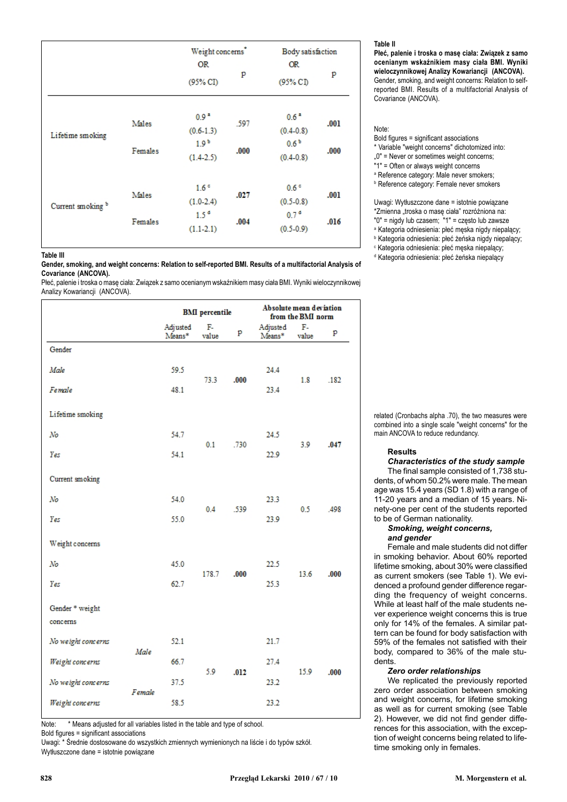|                              |                  | Weight concerns <sup>*</sup><br><b>OR</b><br>$(95\%$ CI            | p            | Body satisfaction<br>OR.<br>$(95\%$ CI                               | p            |
|------------------------------|------------------|--------------------------------------------------------------------|--------------|----------------------------------------------------------------------|--------------|
| Lifetime smoking             | Males<br>Females | $0.9 -$<br>$(0.6-1.3)$<br>1.9 <sup>b</sup><br>$(1.4-2.5)$          | .597<br>.000 | 0.6 <sup>2</sup><br>$(0.4 - 0.8)$<br>0.6 <sup>b</sup><br>$(0.4-0.8)$ | .001<br>.000 |
| Current smoking <sup>b</sup> | Males<br>Females | 1.6 <sup>c</sup><br>$(1.0-2.4)$<br>1.5 <sup>o</sup><br>$(1.1-2.1)$ | .027<br>.004 | 0.6 <sup>o</sup><br>$(0.5 - 0.8)$<br>0.7 <sup>o</sup><br>$(0.5-0.9)$ | .001<br>.016 |

d Kategoria odniesienia: pieć żeńska niepalący Martin Martin Martin Martin Martin Martin Martin Martin Martin M Gender, smoking, and weight concerns: Relation to self-reported BMI. Results of a multifactorial Analysis of Covariance (ANCOVA).

Płeć, palenie i troska o masę ciała: Związek z samo ocenianym wskaźnikiem masy ciała BMI. Wyniki wieloczynnikowej Analizy Kowariancji (ANCOVA).

|                             |        |                    | <b>BMI</b> percentile |      |                    | Absolute mean deviation<br>from the BMI norm |      |  |  |
|-----------------------------|--------|--------------------|-----------------------|------|--------------------|----------------------------------------------|------|--|--|
|                             |        | Adjusted<br>Means* | F.<br>value           | p    | Adjusted<br>Means* | F.<br>value                                  | p    |  |  |
| Gender                      |        |                    |                       |      |                    |                                              |      |  |  |
| Male                        |        | 59.5               |                       |      | 24.4               |                                              |      |  |  |
| Female                      |        | 48.1               | 73.3                  | .000 | 23.4               | 1.8                                          | .182 |  |  |
| Lifetime smoking            |        |                    |                       |      |                    |                                              |      |  |  |
| N <sub>O</sub>              |        | 54.7               | 0.1                   | .730 | 24.5               | 3.9                                          | .047 |  |  |
| Yes                         |        | 54.1               |                       |      | 22.9               |                                              |      |  |  |
| Current smoking             |        |                    |                       |      |                    |                                              |      |  |  |
| No                          |        | 54.0               |                       |      | 23.3               |                                              |      |  |  |
| Yes                         |        | 55.0               | 0.4<br>.539           |      | 23.9               | 0.5                                          | .498 |  |  |
| Weight concerns             |        |                    |                       |      |                    |                                              |      |  |  |
| $N_{0}$                     |        | 45.0               |                       |      | 22.5               | 13.6                                         | .000 |  |  |
| Yes                         |        | 62.7               | 178.7                 | .000 | 25.3               |                                              |      |  |  |
| Gender * weight<br>concerns |        |                    |                       |      |                    |                                              |      |  |  |
| No weight concerns          |        | 52.1               |                       | .012 | 21.7               | 15.9                                         | .000 |  |  |
| Weight concerns             | Male   | 66.7               |                       |      | 27.4               |                                              |      |  |  |
| No weight concerns          | Female | 37.5               | 5.9                   |      | 23.2               |                                              |      |  |  |
| Weight concerns             |        | 58.5               |                       |      | 23.2               |                                              |      |  |  |

Note: \* Means adjusted for all variables listed in the table and type of school. Bold figures = significant associations

Uwagi: \* Średnie dostosowane do wszystkich zmiennych wymienionych na liście i do typów szkół. Wytłuszczone dane = istotnie powiazane

# Table II

Płeć, palenie i troska o masę ciała: Związek z samo ocenianym wskaźnikiem masy ciała BMI. Wyniki wieloczynnikowej Analizy Kowariancji (ANCOVA). Gender, smoking, and weight concerns: Relation to selfreported BMI. Results of a multifactorial Analysis of Covariance (ANCOVA).

# Note:

- Bold figures = significant associations
- \* Variable "weight concerns" dichotomized into:
- 0" = Never or sometimes weight concerns;
- "1" = Often or always weight concerns
- a Reference category: Male never smokers;
- b Reference category: Female never smokers

Uwagi: Wytłuszczone dane = istotnie powiązane \*Zmienna "troska o mase ciała" rozróżniona na: "0" = nigdy lub czasem; "1" = często lub zawsze <sup>a</sup> Kategoria odniesienia: płeć męska nigdy niepalący; <sup>b</sup> Kategoria odniesienia: płeć żeńska nigdy niepalący;

- $\mathop{\text{c}}$  Kategoria odniesienia: płeć męska niepalący;
- 

related (Cronbachs alpha .70), the two measures were combined into a single scale "weight concerns" for the main ANCOVA to reduce redundancy.

# Results

Characteristics of the study sample

The final sample consisted of 1,738 students, of whom 50.2% were male. The mean age was 15.4 years (SD 1.8) with a range of 11-20 years and a median of 15 years. Ninety-one per cent of the students reported to be of German nationality.

# Smoking, weight concerns, and gender

Female and male students did not differ in smoking behavior. About 60% reported lifetime smoking, about 30% were classified as current smokers (see Table 1). We evidenced a profound gender difference regarding the frequency of weight concerns. While at least half of the male students never experience weight concerns this is true only for 14% of the females. A similar pattern can be found for body satisfaction with 59% of the females not satisfied with their body, compared to 36% of the male students.

# Zero order relationships

We replicated the previously reported zero order association between smoking and weight concerns, for lifetime smoking as well as for current smoking (see Table 2). However, we did not find gender differences for this association, with the exception of weight concerns being related to lifetime smoking only in females.